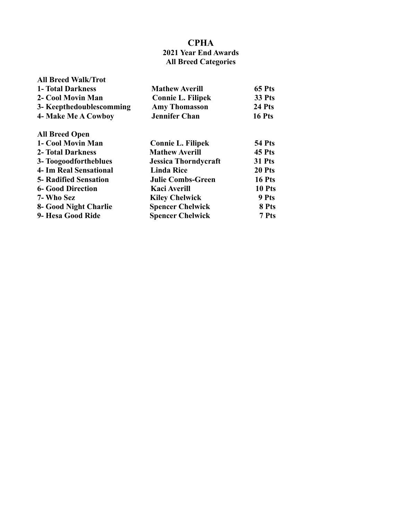## **CPHA**

### **2021 Year End Awards All Breed Categories**

| <b>All Breed Walk/Trot</b><br><b>1- Total Darkness</b><br>2- Cool Movin Man<br>3- Keepthedoublescomming<br>4- Make Me A Cowboy | <b>Mathew Averill</b><br><b>Connie L. Filipek</b><br><b>Amy Thomasson</b><br><b>Jennifer Chan</b> | 65 Pts<br>33 Pts<br>24 Pts<br><b>16 Pts</b> |
|--------------------------------------------------------------------------------------------------------------------------------|---------------------------------------------------------------------------------------------------|---------------------------------------------|
| <b>All Breed Open</b>                                                                                                          |                                                                                                   |                                             |
| 1- Cool Movin Man                                                                                                              | <b>Connie L. Filipek</b>                                                                          | <b>54 Pts</b>                               |
| <b>2- Total Darkness</b>                                                                                                       | <b>Mathew Averill</b>                                                                             | 45 Pts                                      |
| 3- Toogoodfortheblues                                                                                                          | <b>Jessica Thorndycraft</b>                                                                       | <b>31 Pts</b>                               |
| <b>4- Im Real Sensational</b>                                                                                                  | <b>Linda Rice</b>                                                                                 | 20 Pts                                      |
| <b>5- Radified Sensation</b>                                                                                                   | <b>Julie Combs-Green</b>                                                                          | 16 Pts                                      |
| <b>6- Good Direction</b>                                                                                                       | <b>Kaci Averill</b>                                                                               | 10 Pts                                      |
| 7- Who Sez                                                                                                                     | <b>Kiley Chelwick</b>                                                                             | 9 Pts                                       |
| 8- Good Night Charlie                                                                                                          | <b>Spencer Chelwick</b>                                                                           | 8 Pts                                       |
| 9- Hesa Good Ride                                                                                                              | <b>Spencer Chelwick</b>                                                                           | 7 Pts                                       |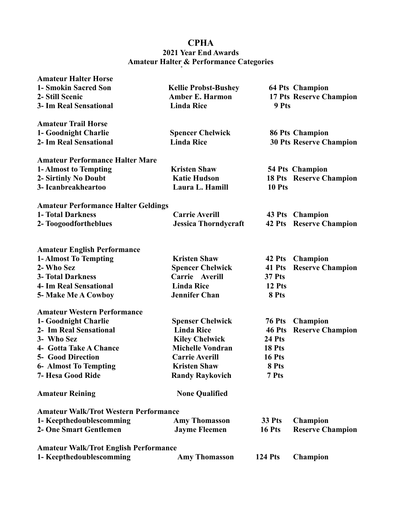# **CPHA 2021 Year End Awards Amateur Halter & Performance Categories**

| <b>Amateur Halter Horse</b>                  |                             |                |                                |
|----------------------------------------------|-----------------------------|----------------|--------------------------------|
| 1- Smokin Sacred Son                         | <b>Kellie Probst-Bushey</b> |                | <b>64 Pts Champion</b>         |
| 2- Still Scenic                              | <b>Amber E. Harmon</b>      |                | 17 Pts Reserve Champion        |
| <b>3- Im Real Sensational</b>                | <b>Linda Rice</b>           | 9 Pts          |                                |
| <b>Amateur Trail Horse</b>                   |                             |                |                                |
| 1- Goodnight Charlie                         | <b>Spencer Chelwick</b>     |                | <b>86 Pts Champion</b>         |
| 2- Im Real Sensational                       | <b>Linda Rice</b>           |                | <b>30 Pts Reserve Champion</b> |
| <b>Amateur Performance Halter Mare</b>       |                             |                |                                |
| 1- Almost to Tempting                        | <b>Kristen Shaw</b>         |                | <b>54 Pts Champion</b>         |
| 2- Sirtinly No Doubt                         | <b>Katie Hudson</b>         |                | <b>18 Pts</b> Reserve Champion |
| 3- Icanbreakheartoo                          | Laura L. Hamill             | 10 Pts         |                                |
| <b>Amateur Performance Halter Geldings</b>   |                             |                |                                |
| <b>1- Total Darkness</b>                     | <b>Carrie Averill</b>       |                | 43 Pts Champion                |
| 2- Toogoodfortheblues                        | <b>Jessica Thorndycraft</b> | 42 Pts         | <b>Reserve Champion</b>        |
|                                              |                             |                |                                |
| <b>Amateur English Performance</b>           |                             |                |                                |
| 1- Almost To Tempting                        | <b>Kristen Shaw</b>         | 42 Pts         | <b>Champion</b>                |
| 2- Who Sez                                   | <b>Spencer Chelwick</b>     | 41 Pts         | <b>Reserve Champion</b>        |
| <b>3- Total Darkness</b>                     | Carrie Averill              | <b>37 Pts</b>  |                                |
| <b>4- Im Real Sensational</b>                | <b>Linda Rice</b>           | 12 Pts         |                                |
| 5- Make Me A Cowboy                          | <b>Jennifer Chan</b>        | 8 Pts          |                                |
| <b>Amateur Western Performance</b>           |                             |                |                                |
| 1- Goodnight Charlie                         | <b>Spenser Chelwick</b>     | <b>76 Pts</b>  | <b>Champion</b>                |
| 2- Im Real Sensational                       | <b>Linda Rice</b>           | 46 Pts         | <b>Reserve Champion</b>        |
| 3- Who Sez                                   | <b>Kiley Chelwick</b>       | 24 Pts         |                                |
| 4- Gotta Take A Chance                       | <b>Michelle Vondran</b>     | 18 Pts         |                                |
| <b>5- Good Direction</b>                     | <b>Carrie Averill</b>       | 16 Pts         |                                |
| <b>6- Almost To Tempting</b>                 | <b>Kristen Shaw</b>         | 8 Pts          |                                |
| 7- Hesa Good Ride                            | <b>Randy Raykovich</b>      | 7 Pts          |                                |
| <b>Amateur Reining</b>                       | <b>None Qualified</b>       |                |                                |
| <b>Amateur Walk/Trot Western Performance</b> |                             |                |                                |
| 1- Keepthedoublescomming                     | <b>Amy Thomasson</b>        | 33 Pts         | <b>Champion</b>                |
| <b>2- One Smart Gentlemen</b>                | <b>Jayme Fleemen</b>        | 16 Pts         | <b>Reserve Champion</b>        |
| <b>Amateur Walk/Trot English Performance</b> |                             |                |                                |
| 1- Keepthedoublescomming                     | <b>Amy Thomasson</b>        | <b>124 Pts</b> | <b>Champion</b>                |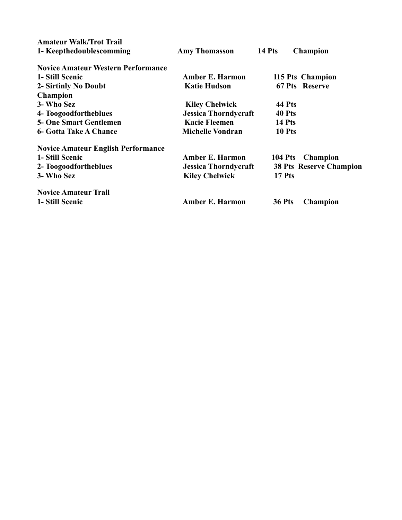| <b>Amateur Walk/Trot Trail</b>            |                             |               |                                |
|-------------------------------------------|-----------------------------|---------------|--------------------------------|
| 1- Keepthedoublescomming                  | <b>Amy Thomasson</b>        | <b>14 Pts</b> | <b>Champion</b>                |
| <b>Novice Amateur Western Performance</b> |                             |               |                                |
| 1- Still Scenic                           | <b>Amber E. Harmon</b>      |               | 115 Pts Champion               |
| 2- Sirtinly No Doubt                      | <b>Katie Hudson</b>         |               | 67 Pts Reserve                 |
| <b>Champion</b>                           |                             |               |                                |
| 3- Who Sez                                | <b>Kiley Chelwick</b>       | 44 Pts        |                                |
| 4- Toogoodfortheblues                     | <b>Jessica Thorndycraft</b> | 40 Pts        |                                |
| <b>5- One Smart Gentlemen</b>             | <b>Kacie Fleemen</b>        | 14 Pts        |                                |
| <b>6- Gotta Take A Chance</b>             | <b>Michelle Vondran</b>     | 10 Pts        |                                |
| <b>Novice Amateur English Performance</b> |                             |               |                                |
| 1- Still Scenic                           | <b>Amber E. Harmon</b>      |               | 104 Pts Champion               |
| 2- Toogoodfortheblues                     | <b>Jessica Thorndycraft</b> |               | <b>38 Pts Reserve Champion</b> |
| 3- Who Sez                                | <b>Kiley Chelwick</b>       | 17 Pts        |                                |
| <b>Novice Amateur Trail</b>               |                             |               |                                |
| 1- Still Scenic                           | <b>Amber E. Harmon</b>      | <b>36 Pts</b> | <b>Champion</b>                |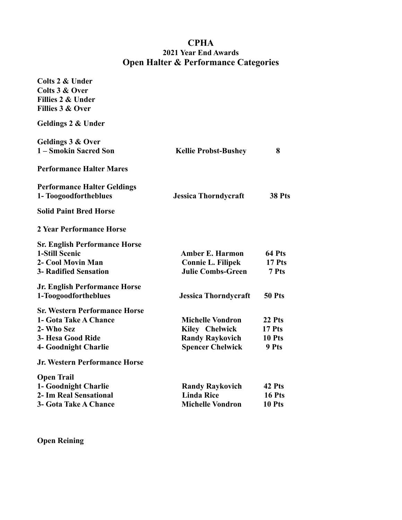## **CPHA 2021 Year End Awards Open Halter & Performance Categories**

| Colts 2 & Under<br>Colts 3 & Over<br>Fillies 2 & Under<br>Fillies 3 & Over |                             |               |
|----------------------------------------------------------------------------|-----------------------------|---------------|
| Geldings 2 & Under                                                         |                             |               |
| Geldings 3 & Over<br>1 – Smokin Sacred Son                                 | <b>Kellie Probst-Bushey</b> | 8             |
| <b>Performance Halter Mares</b>                                            |                             |               |
| <b>Performance Halter Geldings</b><br>1- Toogoodfortheblues                | <b>Jessica Thorndycraft</b> | <b>38 Pts</b> |
| <b>Solid Paint Bred Horse</b>                                              |                             |               |
| 2 Year Performance Horse                                                   |                             |               |
| <b>Sr. English Performance Horse</b>                                       |                             |               |
| 1-Still Scenic                                                             | <b>Amber E. Harmon</b>      | 64 Pts        |
| 2- Cool Movin Man                                                          | <b>Connie L. Filipek</b>    | 17 Pts        |
| <b>3- Radified Sensation</b>                                               | <b>Julie Combs-Green</b>    | 7 Pts         |
| <b>Jr. English Performance Horse</b>                                       |                             |               |
| 1-Toogoodfortheblues                                                       | <b>Jessica Thorndycraft</b> | 50 Pts        |
| <b>Sr. Western Performance Horse</b>                                       |                             |               |
| 1- Gota Take A Chance                                                      | <b>Michelle Vondron</b>     | 22 Pts        |
| 2- Who Sez                                                                 | <b>Kiley Chelwick</b>       | 17 Pts        |
| 3- Hesa Good Ride                                                          | <b>Randy Raykovich</b>      | 10 Pts        |
| <b>4- Goodnight Charlie</b>                                                | <b>Spencer Chelwick</b>     | 9 Pts         |
| <b>Jr. Western Performance Horse</b>                                       |                             |               |
| <b>Open Trail</b>                                                          |                             |               |
| 1- Goodnight Charlie                                                       | <b>Randy Raykovich</b>      | 42 Pts        |
| 2- Im Real Sensational                                                     | <b>Linda Rice</b>           | 16 Pts        |
| 3- Gota Take A Chance                                                      | <b>Michelle Vondron</b>     | 10 Pts        |

**Open Reining**